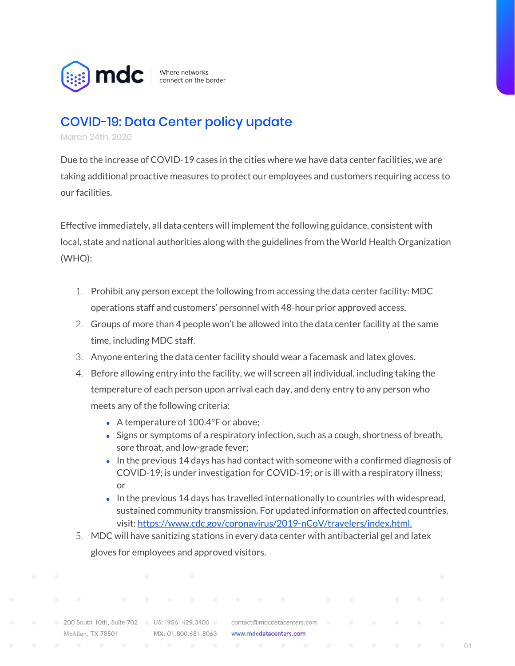

Where networks connect on the border

## COVID-19: Data Center policy update

March 24th, 2020

Due to the increase of COVID-19 cases in the cities where we have data center facilities, we are taking additional proactive measures to protect our employees and customers requiring access to our facilities.

Effective immediately, all data centers will implement the following guidance, consistent with local, state and national authorities along with the guidelines from the World Health Organization (WHO):

- 1. Prohibit any person except the following from accessing the data center facility: MDC operations staff and customers' personnel with 48-hour prior approved access.
- 2. Groups of more than 4 people won't be allowed into the data center facility at the same time, including MDC staff.
- 3. Anyone entering the data center facility should wear a facemask and latex gloves.
- 4. Before allowing entry into the facility, we will screen all individual, including taking the temperature of each person upon arrival each day, and deny entry to any person who meets any of the following criteria:
	- A temperature of 100.4°F or above:
	- Signs or symptoms of a respiratory infection, such as a cough, shortness of breath, sore throat, and low-grade fever;
	- $\bullet$  In the previous 14 days has had contact with someone with a confirmed diagnosis of COVID-19; is under investigation for COVID-19; or is ill with a respiratory illness; or
	- $\bullet$  In the previous 14 days has travelled internationally to countries with widespread, sustained community transmission. For updated information on affected countries, visit: [https://www.cdc.gov/coronavirus/2019-nCoV/travelers/index.html.](https://www.cdc.gov/coronavirus/2019-nCoV/travelers/index.html)
- 5. MDC will have sanitizing stations in every data center with antibacterial gel and latex gloves for employees and approved visitors.

200 South 10th, Suite 702 US: (956) 429.3400 McAllen, TX 78501

contact@mdcdatacenters.com MX: 01.800.681.8063 www.mdcdatacenters.com

01